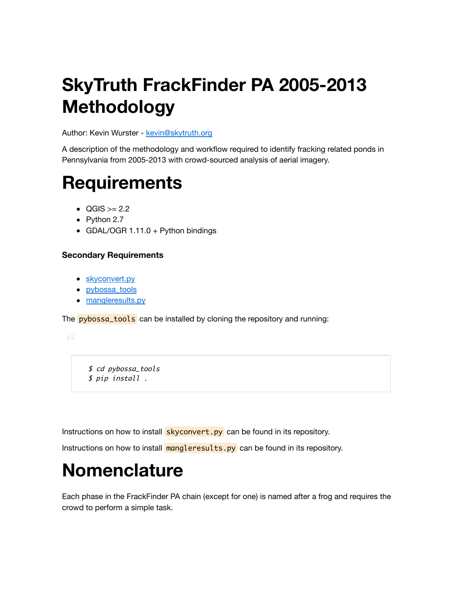# **SkyTruth FrackFinder PA 2005-2013 Methodology**

Author: Kevin Wurster - [kevin@skytruth.org](mailto:kevin@skytruth.org)

A description of the methodology and workflow required to identify fracking related ponds in Pennsylvania from 2005-2013 with crowd-sourced analysis of aerial imagery.

# **Requirements**

- $\bullet$  QGIS  $>= 2.2$
- $\bullet$  Python 2.7
- GDAL/OGR  $1.11.0 +$  Python bindings

#### **Secondary Requirements**

- [skyconvert.py](https://github.com/redhog/swissarmykitchensink/blob/master/skyconvert)
- [pybossa\\_tools](https://github.com/skytruth/pybossa_tools)
- [mangleresults.py](https://github.com/SkyTruth/pybossa_tools/blob/master/finder/mangleresults.py)

The **pybossa\_tools** can be installed by cloning the repository and running:

 \$ cd pybossa\_tools \$ pip install .

Instructions on how to install skyconvert.py can be found in its repository.

Instructions on how to install  $mangle$  results.py can be found in its repository.

# **Nomenclature**

Each phase in the FrackFinder PA chain (except for one) is named after a frog and requires the crowd to perform a simple task.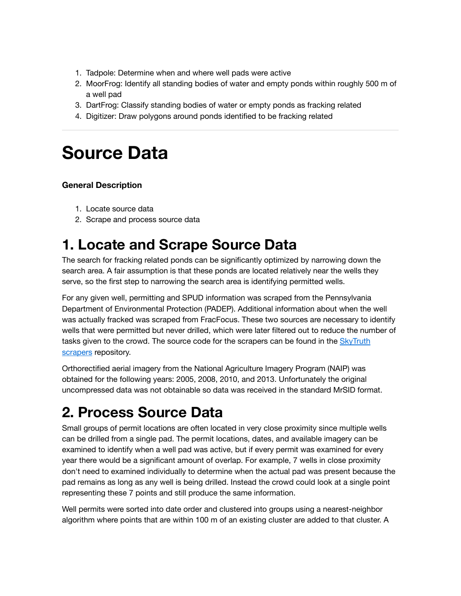- 1. Tadpole: Determine when and where well pads were active
- 2. MoorFrog: Identify all standing bodies of water and empty ponds within roughly 500 m of a well pad
- 3. DartFrog: Classify standing bodies of water or empty ponds as fracking related
- 4. Digitizer: Draw polygons around ponds identified to be fracking related

## **Source Data**

#### **General Description**

- 1. Locate source data
- 2. Scrape and process source data

## **1. Locate and Scrape Source Data**

The search for fracking related ponds can be significantly optimized by narrowing down the search area. A fair assumption is that these ponds are located relatively near the wells they serve, so the first step to narrowing the search area is identifying permitted wells.

For any given well, permitting and SPUD information was scraped from the Pennsylvania Department of Environmental Protection (PADEP). Additional information about when the well was actually fracked was scraped from FracFocus. These two sources are necessary to identify wells that were permitted but never drilled, which were later filtered out to reduce the number of [tasks given to the crowd. The source code for the scrapers can be found in the SkyTruth](https://github.com/SkyTruth/scraper) scrapers repository.

Orthorectified aerial imagery from the National Agriculture Imagery Program (NAIP) was obtained for the following years: 2005, 2008, 2010, and 2013. Unfortunately the original uncompressed data was not obtainable so data was received in the standard MrSID format.

## **2. Process Source Data**

Small groups of permit locations are often located in very close proximity since multiple wells can be drilled from a single pad. The permit locations, dates, and available imagery can be examined to identify when a well pad was active, but if every permit was examined for every year there would be a significant amount of overlap. For example, 7 wells in close proximity don't need to examined individually to determine when the actual pad was present because the pad remains as long as any well is being drilled. Instead the crowd could look at a single point representing these 7 points and still produce the same information.

Well permits were sorted into date order and clustered into groups using a nearest-neighbor algorithm where points that are within 100 m of an existing cluster are added to that cluster. A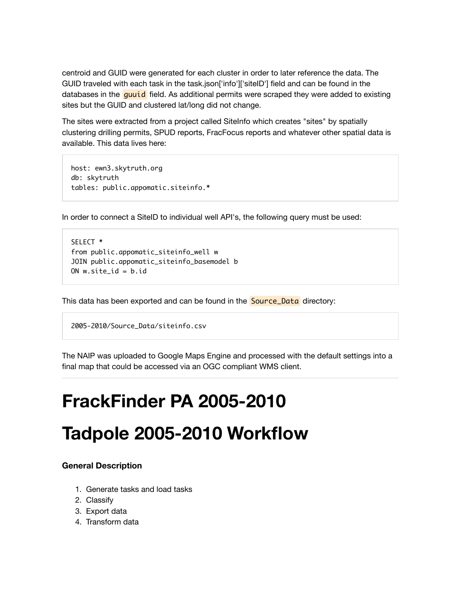centroid and GUID were generated for each cluster in order to later reference the data. The GUID traveled with each task in the task.json['info']['siteID'] field and can be found in the databases in the quuid field. As additional permits were scraped they were added to existing sites but the GUID and clustered lat/long did not change.

The sites were extracted from a project called SiteInfo which creates "sites" by spatially clustering drilling permits, SPUD reports, FracFocus reports and whatever other spatial data is available. This data lives here:

```
host: ewn3.skytruth.org
db: skytruth
tables: public.appomatic.siteinfo.*
```
In order to connect a SiteID to individual well API's, the following query must be used:

```
SELECT *
from public.appomatic_siteinfo_well w
JOIN public.appomatic_siteinfo_basemodel b
ON w.site id = b.id
```
This data has been exported and can be found in the **Source\_Data** directory:

```
2005-2010/Source_Data/siteinfo.csv
```
The NAIP was uploaded to Google Maps Engine and processed with the default settings into a final map that could be accessed via an OGC compliant WMS client.

## **FrackFinder PA 2005-2010**

## **Tadpole 2005-2010 Workflow**

#### **General Description**

- 1. Generate tasks and load tasks
- 2. Classify
- 3. Export data
- 4. Transform data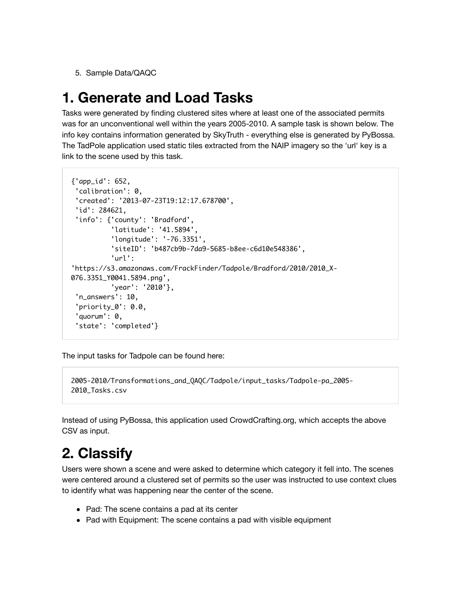5. Sample Data/QAQC

## **1. Generate and Load Tasks**

Tasks were generated by finding clustered sites where at least one of the associated permits was for an unconventional well within the years 2005-2010. A sample task is shown below. The info key contains information generated by SkyTruth - everything else is generated by PyBossa. The TadPole application used static tiles extracted from the NAIP imagery so the 'url' key is a link to the scene used by this task.

```
{'app_id': 652,
  'calibration': 0,
  'created': '2013-07-23T19:12:17.678700',
  'id': 284621,
  'info': {'county': 'Bradford',
           'latitude': '41.5894',
           'longitude': '-76.3351',
           'siteID': 'b487cb9b-7da9-5685-b8ee-c6d10e548386',
           'url':
'https://s3.amazonaws.com/FrackFinder/Tadpole/Bradford/2010/2010_X-
076.3351_Y0041.5894.png',
           'year': '2010'},
  'n_answers': 10,
  'priority_0': 0.0,
  'quorum': 0,
  'state': 'completed'}
```
The input tasks for Tadpole can be found here:

```
2005-2010/Transformations_and_QAQC/Tadpole/input_tasks/Tadpole-pa_2005-
2010_Tasks.csv
```
Instead of using PyBossa, this application used CrowdCrafting.org, which accepts the above CSV as input.

## **2. Classify**

Users were shown a scene and were asked to determine which category it fell into. The scenes were centered around a clustered set of permits so the user was instructed to use context clues to identify what was happening near the center of the scene.

- Pad: The scene contains a pad at its center
- Pad with Equipment: The scene contains a pad with visible equipment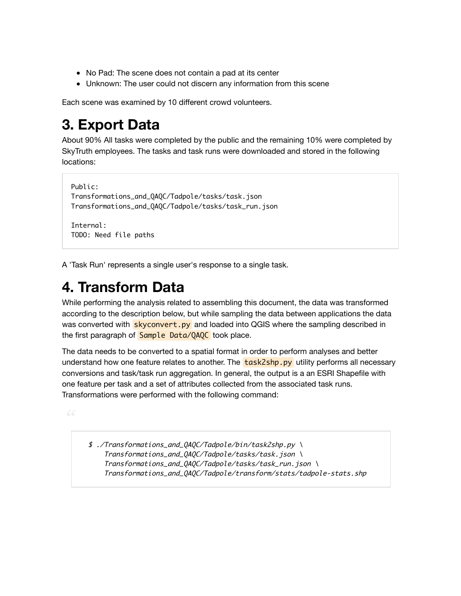- No Pad: The scene does not contain a pad at its center
- Unknown: The user could not discern any information from this scene

Each scene was examined by 10 different crowd volunteers.

## **3. Export Data**

About 90% All tasks were completed by the public and the remaining 10% were completed by SkyTruth employees. The tasks and task runs were downloaded and stored in the following locations:

```
Public:
Transformations_and_QAQC/Tadpole/tasks/task.json
Transformations_and_QAQC/Tadpole/tasks/task_run.json
```
Internal: TODO: Need file paths

A 'Task Run' represents a single user's response to a single task.

## **4. Transform Data**

While performing the analysis related to assembling this document, the data was transformed according to the description below, but while sampling the data between applications the data was converted with **skyconvert.py** and loaded into QGIS where the sampling described in the first paragraph of Sample Data/QAQC took place.

The data needs to be converted to a spatial format in order to perform analyses and better understand how one feature relates to another. The  $\frac{task2shp.py}{task2shp.py}$  utility performs all necessary conversions and task/task run aggregation. In general, the output is a an ESRI Shapefile with one feature per task and a set of attributes collected from the associated task runs. Transformations were performed with the following command:

 \$ ./Transformations\_and\_QAQC/Tadpole/bin/task2shp.py \ Transformations\_and\_QAQC/Tadpole/tasks/task.json \ Transformations\_and\_QAQC/Tadpole/tasks/task\_run.json \ Transformations\_and\_QAQC/Tadpole/transform/stats/tadpole-stats.shp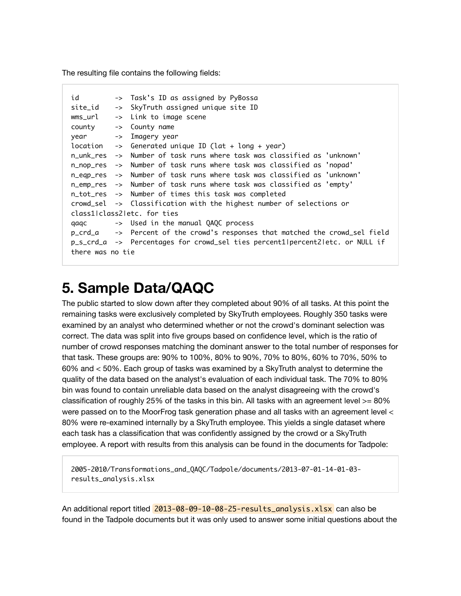The resulting file contains the following fields:

```
id -> Task's ID as assigned by PyBossa
site_id -> SkyTruth assigned unique site ID
wms_url -> Link to image scene
county -> County name
year -> Imagery year
location \rightarrow Generated unique ID (lat + long + year)
n_unk_res -> Number of task runs where task was classified as 'unknown'
n_nop_res -> Number of task runs where task was classified as 'nopad'
n_eqp_res -> Number of task runs where task was classified as 'unknown'
n_emp_res -> Number of task runs where task was classified as 'empty'
n_tot_res -> Number of times this task was completed
crowd_sel -> Classification with the highest number of selections or
class1|class2|etc. for ties
qaqc -> Used in the manual QAQC process
p_crd_a -> Percent of the crowd's responses that matched the crowd_sel field
p_s_crd_a -> Percentages for crowd_sel ties percent1|percent2|etc. or NULL if
there was no tie
```
## **5. Sample Data/QAQC**

The public started to slow down after they completed about 90% of all tasks. At this point the remaining tasks were exclusively completed by SkyTruth employees. Roughly 350 tasks were examined by an analyst who determined whether or not the crowd's dominant selection was correct. The data was split into five groups based on confidence level, which is the ratio of number of crowd responses matching the dominant answer to the total number of responses for that task. These groups are: 90% to 100%, 80% to 90%, 70% to 80%, 60% to 70%, 50% to 60% and < 50%. Each group of tasks was examined by a SkyTruth analyst to determine the quality of the data based on the analyst's evaluation of each individual task. The 70% to 80% bin was found to contain unreliable data based on the analyst disagreeing with the crowd's classification of roughly 25% of the tasks in this bin. All tasks with an agreement level  $>= 80\%$ were passed on to the MoorFrog task generation phase and all tasks with an agreement level < 80% were re-examined internally by a SkyTruth employee. This yields a single dataset where each task has a classification that was confidently assigned by the crowd or a SkyTruth employee. A report with results from this analysis can be found in the documents for Tadpole:

2005-2010/Transformations\_and\_QAQC/Tadpole/documents/2013-07-01-14-01-03 results\_analysis.xlsx

An additional report titled 2013-08-09-10-08-25-results\_analysis.xlsx can also be found in the Tadpole documents but it was only used to answer some initial questions about the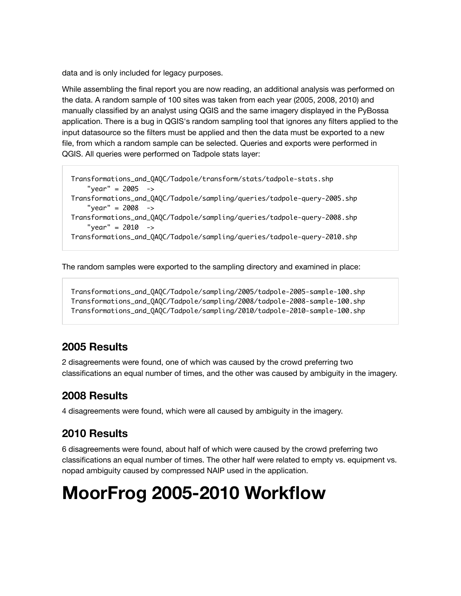data and is only included for legacy purposes.

While assembling the final report you are now reading, an additional analysis was performed on the data. A random sample of 100 sites was taken from each year (2005, 2008, 2010) and manually classified by an analyst using QGIS and the same imagery displayed in the PyBossa application. There is a bug in QGIS's random sampling tool that ignores any filters applied to the input datasource so the filters must be applied and then the data must be exported to a new file, from which a random sample can be selected. Queries and exports were performed in QGIS. All queries were performed on Tadpole stats layer:

```
Transformations_and_QAQC/Tadpole/transform/stats/tadpole-stats.shp
     "year" = 2005 -> 
Transformations_and_QAQC/Tadpole/sampling/queries/tadpole-query-2005.shp
    "year" = 2008 ->
Transformations_and_QAQC/Tadpole/sampling/queries/tadpole-query-2008.shp 
    "year" = 2010 ->
Transformations_and_QAQC/Tadpole/sampling/queries/tadpole-query-2010.shp
```
The random samples were exported to the sampling directory and examined in place:

```
Transformations_and_QAQC/Tadpole/sampling/2005/tadpole-2005-sample-100.shp
Transformations_and_QAQC/Tadpole/sampling/2008/tadpole-2008-sample-100.shp
Transformations_and_QAQC/Tadpole/sampling/2010/tadpole-2010-sample-100.shp
```
### **2005 Results**

2 disagreements were found, one of which was caused by the crowd preferring two classifications an equal number of times, and the other was caused by ambiguity in the imagery.

### **2008 Results**

4 disagreements were found, which were all caused by ambiguity in the imagery.

### **2010 Results**

6 disagreements were found, about half of which were caused by the crowd preferring two classifications an equal number of times. The other half were related to empty vs. equipment vs. nopad ambiguity caused by compressed NAIP used in the application.

# **MoorFrog 2005-2010 Workflow**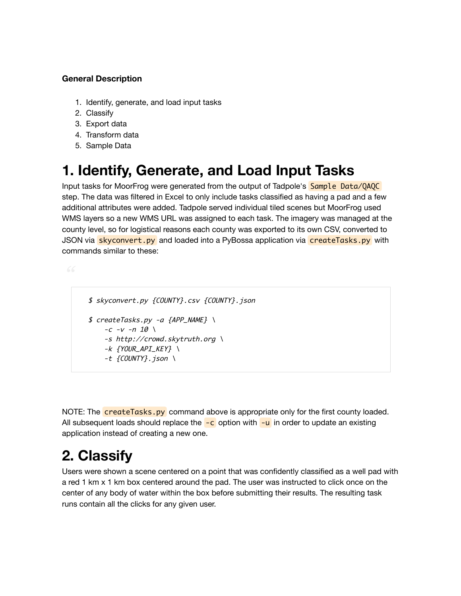#### **General Description**

- 1. Identify, generate, and load input tasks
- 2. Classify
- 3. Export data
- 4. Transform data
- 5. Sample Data

## **1. Identify, Generate, and Load Input Tasks**

Input tasks for MoorFrog were generated from the output of Tadpole's Sample Data/QAQC step. The data was filtered in Excel to only include tasks classified as having a pad and a few additional attributes were added. Tadpole served individual tiled scenes but MoorFrog used WMS layers so a new WMS URL was assigned to each task. The imagery was managed at the county level, so for logistical reasons each county was exported to its own CSV, converted to JSON via skyconvert.py and loaded into a PyBossa application via createTasks.py with commands similar to these:

```
 $ skyconvert.py {COUNTY}.csv {COUNTY}.json
$ \, createsTasks.py -a \, {APP_NAME} \, \backslash-c -v - n 10 \ \ b -s http://crowd.skytruth.org \
    -k {YOUR_API_KEY} \
    -t \ \{COUNTY\}. json \
```
NOTE: The **createTasks.py** command above is appropriate only for the first county loaded. All subsequent loads should replace the  $-c$  option with  $-u$  in order to update an existing application instead of creating a new one.

## **2. Classify**

Users were shown a scene centered on a point that was confidently classified as a well pad with a red 1 km x 1 km box centered around the pad. The user was instructed to click once on the center of any body of water within the box before submitting their results. The resulting task runs contain all the clicks for any given user.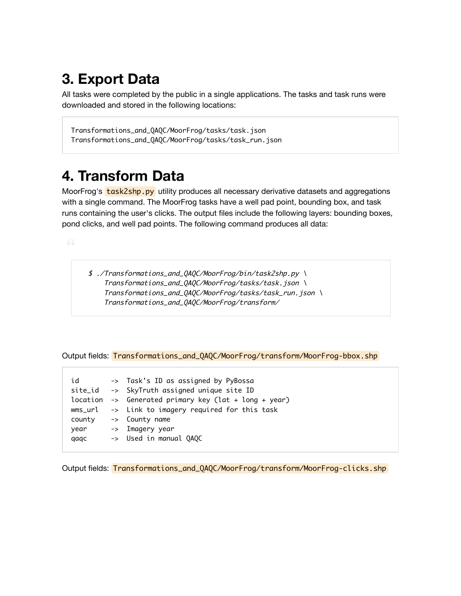## **3. Export Data**

All tasks were completed by the public in a single applications. The tasks and task runs were downloaded and stored in the following locations:

```
Transformations_and_QAQC/MoorFrog/tasks/task.json
Transformations_and_QAQC/MoorFrog/tasks/task_run.json
```
### **4. Transform Data**

MoorFrog's **task2shp.py** utility produces all necessary derivative datasets and aggregations with a single command. The MoorFrog tasks have a well pad point, bounding box, and task runs containing the user's clicks. The output files include the following layers: bounding boxes, pond clicks, and well pad points. The following command produces all data:

 \$ ./Transformations\_and\_QAQC/MoorFrog/bin/task2shp.py \ Transformations\_and\_QAQC/MoorFrog/tasks/task.json \ Transformations\_and\_QAQC/MoorFrog/tasks/task\_run.json \ Transformations\_and\_QAQC/MoorFrog/transform/

Output fields: Transformations\_and\_QAQC/MoorFrog/transform/MoorFrog-bbox.shp

| id     | -> Task's ID as assigned by PyBossa                              |
|--------|------------------------------------------------------------------|
|        | site_id -> SkyTruth assigned unique site ID                      |
|        | location $\rightarrow$ Generated primary key (lat + long + year) |
|        | $wms_Url$ -> Link to imagery required for this task              |
| county | -> County name                                                   |
| year   | -> Imagery year                                                  |
| qaqc   | -> Used in manual QAQC                                           |
|        |                                                                  |

Output fields: Transformations\_and\_QAQC/MoorFrog/transform/MoorFrog-clicks.shp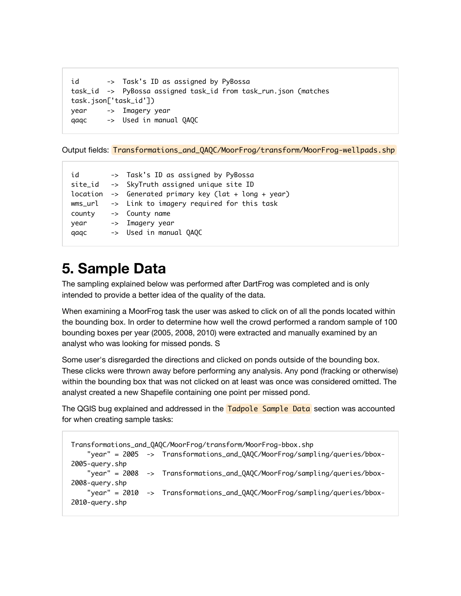```
id -> Task's ID as assigned by PyBossa
task_id -> PyBossa assigned task_id from task_run.json (matches
task.json['task_id'])
year -> Imagery year
qaqc -> Used in manual QAQC
```
Output fields: Transformations\_and\_QAQC/MoorFrog/transform/MoorFrog-wellpads.shp

```
id -> Task's ID as assigned by PyBossa 
site_id -> SkyTruth assigned unique site ID
location -> Generated primary key (lat + long + year)
wms_url -> Link to imagery required for this task
county -> County name
year -> Imagery year
qaqc -> Used in manual QAQC
```
## **5. Sample Data**

The sampling explained below was performed after DartFrog was completed and is only intended to provide a better idea of the quality of the data.

When examining a MoorFrog task the user was asked to click on of all the ponds located within the bounding box. In order to determine how well the crowd performed a random sample of 100 bounding boxes per year (2005, 2008, 2010) were extracted and manually examined by an analyst who was looking for missed ponds. S

Some user's disregarded the directions and clicked on ponds outside of the bounding box. These clicks were thrown away before performing any analysis. Any pond (fracking or otherwise) within the bounding box that was not clicked on at least was once was considered omitted. The analyst created a new Shapefile containing one point per missed pond.

The QGIS bug explained and addressed in the **Tadpole Sample Data** section was accounted for when creating sample tasks:

```
Transformations_and_QAQC/MoorFrog/transform/MoorFrog-bbox.shp
     "year" = 2005 -> Transformations_and_QAQC/MoorFrog/sampling/queries/bbox-
2005-query.shp
     "year" = 2008 -> Transformations_and_QAQC/MoorFrog/sampling/queries/bbox-
2008-query.shp
     "year" = 2010 -> Transformations_and_QAQC/MoorFrog/sampling/queries/bbox-
2010-query.shp
```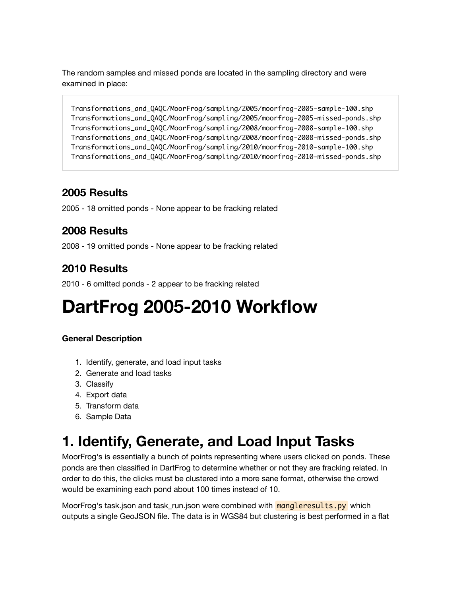The random samples and missed ponds are located in the sampling directory and were examined in place:

```
Transformations_and_QAQC/MoorFrog/sampling/2005/moorfrog-2005-sample-100.shp
Transformations_and_QAQC/MoorFrog/sampling/2005/moorfrog-2005-missed-ponds.shp
Transformations_and_QAQC/MoorFrog/sampling/2008/moorfrog-2008-sample-100.shp
Transformations_and_QAQC/MoorFrog/sampling/2008/moorfrog-2008-missed-ponds.shp
Transformations_and_QAQC/MoorFrog/sampling/2010/moorfrog-2010-sample-100.shp
Transformations_and_QAQC/MoorFrog/sampling/2010/moorfrog-2010-missed-ponds.shp
```
#### **2005 Results**

2005 - 18 omitted ponds - None appear to be fracking related

### **2008 Results**

2008 - 19 omitted ponds - None appear to be fracking related

### **2010 Results**

2010 - 6 omitted ponds - 2 appear to be fracking related

# **DartFrog 2005-2010 Workflow**

#### **General Description**

- 1. Identify, generate, and load input tasks
- 2. Generate and load tasks
- 3. Classify
- 4. Export data
- 5. Transform data
- 6. Sample Data

## **1. Identify, Generate, and Load Input Tasks**

MoorFrog's is essentially a bunch of points representing where users clicked on ponds. These ponds are then classified in DartFrog to determine whether or not they are fracking related. In order to do this, the clicks must be clustered into a more sane format, otherwise the crowd would be examining each pond about 100 times instead of 10.

MoorFrog's task.json and task run.json were combined with **mangleresults.py** which outputs a single GeoJSON file. The data is in WGS84 but clustering is best performed in a flat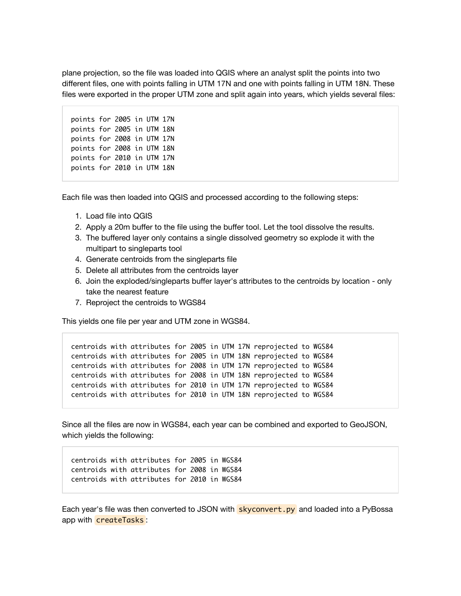plane projection, so the file was loaded into QGIS where an analyst split the points into two different files, one with points falling in UTM 17N and one with points falling in UTM 18N. These files were exported in the proper UTM zone and split again into years, which yields several files:

points for 2005 in UTM 17N points for 2005 in UTM 18N points for 2008 in UTM 17N points for 2008 in UTM 18N points for 2010 in UTM 17N points for 2010 in UTM 18N

Each file was then loaded into QGIS and processed according to the following steps:

- 1. Load file into QGIS
- 2. Apply a 20m buffer to the file using the buffer tool. Let the tool dissolve the results.
- 3. The buffered layer only contains a single dissolved geometry so explode it with the multipart to singleparts tool
- 4. Generate centroids from the singleparts file
- 5. Delete all attributes from the centroids layer
- 6. Join the exploded/singleparts buffer layer's attributes to the centroids by location only take the nearest feature
- 7. Reproject the centroids to WGS84

This yields one file per year and UTM zone in WGS84.

centroids with attributes for 2005 in UTM 17N reprojected to WGS84 centroids with attributes for 2005 in UTM 18N reprojected to WGS84 centroids with attributes for 2008 in UTM 17N reprojected to WGS84 centroids with attributes for 2008 in UTM 18N reprojected to WGS84 centroids with attributes for 2010 in UTM 17N reprojected to WGS84 centroids with attributes for 2010 in UTM 18N reprojected to WGS84

Since all the files are now in WGS84, each year can be combined and exported to GeoJSON, which yields the following:

centroids with attributes for 2005 in WGS84 centroids with attributes for 2008 in WGS84 centroids with attributes for 2010 in WGS84

Each year's file was then converted to JSON with **skyconvert.py** and loaded into a PyBossa app with createTasks :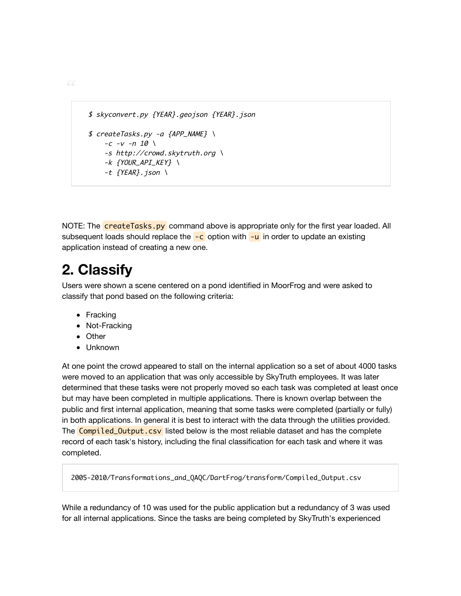```
 $ skyconvert.py {YEAR}.geojson {YEAR}.json
$ \, createsTasks.py -a \, {APP_NAME} \, \backslash-c -v -n 10 \ \ b -s http://crowd.skytruth.org \
    -k {YOUR_API_KEY} \
    -t \{YEAR\}. json \
```
NOTE: The **createTasks.py** command above is appropriate only for the first year loaded. All subsequent loads should replace the  $-c$  option with  $-u$  in order to update an existing application instead of creating a new one.

## **2. Classify**

Users were shown a scene centered on a pond identified in MoorFrog and were asked to classify that pond based on the following criteria:

- Fracking
- Not-Fracking
- Other
- Unknown

At one point the crowd appeared to stall on the internal application so a set of about 4000 tasks were moved to an application that was only accessible by SkyTruth employees. It was later determined that these tasks were not properly moved so each task was completed at least once but may have been completed in multiple applications. There is known overlap between the public and first internal application, meaning that some tasks were completed (partially or fully) in both applications. In general it is best to interact with the data through the utilities provided. The **Compiled\_Output.csv** listed below is the most reliable dataset and has the complete record of each task's history, including the final classification for each task and where it was completed.

2005-2010/Transformations\_and\_QAQC/DartFrog/transform/Compiled\_Output.csv

While a redundancy of 10 was used for the public application but a redundancy of 3 was used for all internal applications. Since the tasks are being completed by SkyTruth's experienced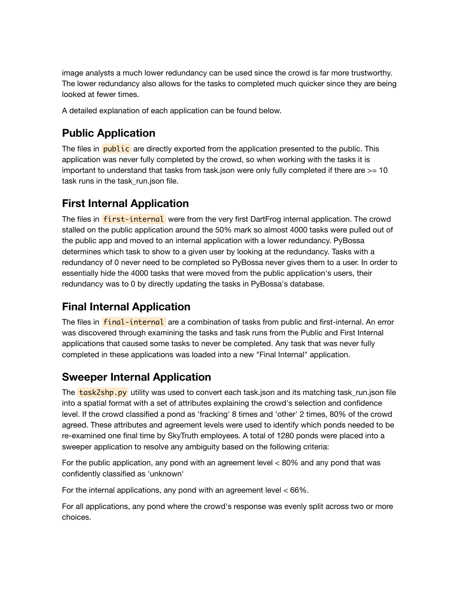image analysts a much lower redundancy can be used since the crowd is far more trustworthy. The lower redundancy also allows for the tasks to completed much quicker since they are being looked at fewer times.

A detailed explanation of each application can be found below.

### **Public Application**

The files in **public** are directly exported from the application presented to the public. This application was never fully completed by the crowd, so when working with the tasks it is important to understand that tasks from task json were only fully completed if there are  $> = 10$ task runs in the task run.json file.

#### **First Internal Application**

The files in **first-internal** were from the very first DartFrog internal application. The crowd stalled on the public application around the 50% mark so almost 4000 tasks were pulled out of the public app and moved to an internal application with a lower redundancy. PyBossa determines which task to show to a given user by looking at the redundancy. Tasks with a redundancy of 0 never need to be completed so PyBossa never gives them to a user. In order to essentially hide the 4000 tasks that were moved from the public application's users, their redundancy was to 0 by directly updating the tasks in PyBossa's database.

### **Final Internal Application**

The files in **final-internal** are a combination of tasks from public and first-internal. An error was discovered through examining the tasks and task runs from the Public and First Internal applications that caused some tasks to never be completed. Any task that was never fully completed in these applications was loaded into a new "Final Internal" application.

#### **Sweeper Internal Application**

The **task2shp.py** utility was used to convert each task.json and its matching task\_run.json file into a spatial format with a set of attributes explaining the crowd's selection and confidence level. If the crowd classified a pond as 'fracking' 8 times and 'other' 2 times, 80% of the crowd agreed. These attributes and agreement levels were used to identify which ponds needed to be re-examined one final time by SkyTruth employees. A total of 1280 ponds were placed into a sweeper application to resolve any ambiguity based on the following criteria:

For the public application, any pond with an agreement level < 80% and any pond that was confidently classified as 'unknown'

For the internal applications, any pond with an agreement level  $< 66\%$ .

For all applications, any pond where the crowd's response was evenly split across two or more choices.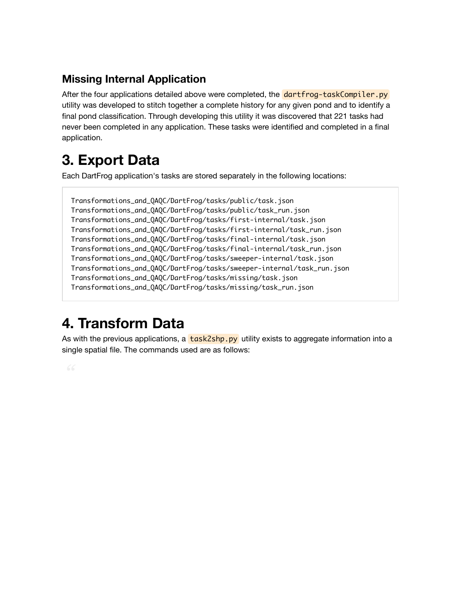### **Missing Internal Application**

After the four applications detailed above were completed, the dartfrog-taskCompiler.py utility was developed to stitch together a complete history for any given pond and to identify a final pond classification. Through developing this utility it was discovered that 221 tasks had never been completed in any application. These tasks were identified and completed in a final application.

## **3. Export Data**

Each DartFrog application's tasks are stored separately in the following locations:

Transformations\_and\_QAQC/DartFrog/tasks/public/task.json Transformations\_and\_QAQC/DartFrog/tasks/public/task\_run.json Transformations\_and\_QAQC/DartFrog/tasks/first-internal/task.json Transformations\_and\_QAQC/DartFrog/tasks/first-internal/task\_run.json Transformations\_and\_QAQC/DartFrog/tasks/final-internal/task.json Transformations\_and\_QAQC/DartFrog/tasks/final-internal/task\_run.json Transformations\_and\_QAQC/DartFrog/tasks/sweeper-internal/task.json Transformations\_and\_QAQC/DartFrog/tasks/sweeper-internal/task\_run.json Transformations\_and\_QAQC/DartFrog/tasks/missing/task.json Transformations\_and\_QAQC/DartFrog/tasks/missing/task\_run.json

## **4. Transform Data**

As with the previous applications, a  $\frac{task2$ shp.py utility exists to aggregate information into a single spatial file. The commands used are as follows: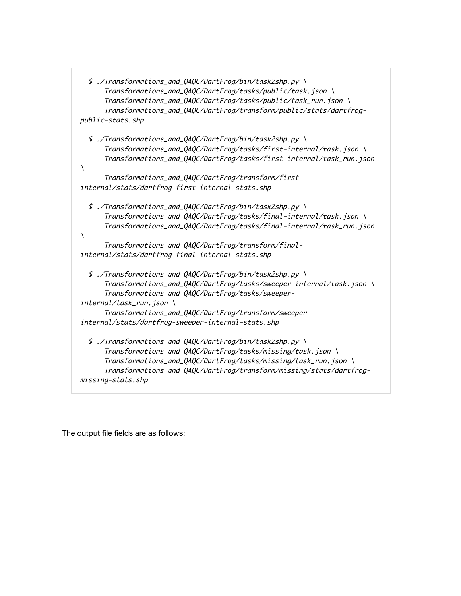| \$ ./Transformations_and_QAQC/DartFrog/bin/task2shp.py \             |  |  |  |  |
|----------------------------------------------------------------------|--|--|--|--|
| Transformations_and_QAQC/DartFrog/tasks/public/task.json\            |  |  |  |  |
| Transformations_and_QAQC/DartFrog/tasks/public/task_run.json\        |  |  |  |  |
| Transformations_and_QAQC/DartFrog/transform/public/stats/dartfrog-   |  |  |  |  |
| public-stats.shp                                                     |  |  |  |  |
| \$ ./Transformations_and_QAQC/DartFrog/bin/task2shp.py \             |  |  |  |  |
| Transformations_and_QAQC/DartFrog/tasks/first-internal/task.json\    |  |  |  |  |
| Transformations_and_QAQC/DartFrog/tasks/first-internal/task_run.json |  |  |  |  |
| V                                                                    |  |  |  |  |
| Transformations_and_QAQC/DartFrog/transform/first-                   |  |  |  |  |
| internal/stats/dartfrog-first-internal-stats.shp                     |  |  |  |  |
| \$ ./Transformations_and_QAQC/DartFrog/bin/task2shp.py \             |  |  |  |  |
| Transformations_and_QAQC/DartFrog/tasks/final-internal/task.json\    |  |  |  |  |
| Transformations_and_QAQC/DartFrog/tasks/final-internal/task_run.json |  |  |  |  |
| V                                                                    |  |  |  |  |
| Transformations_and_QAQC/DartFrog/transform/final-                   |  |  |  |  |
| internal/stats/dartfrog-final-internal-stats.shp                     |  |  |  |  |
| \$ ./Transformations_and_QAQC/DartFrog/bin/task2shp.py \             |  |  |  |  |
| Transformations_and_QAQC/DartFrog/tasks/sweeper-internal/task.json\  |  |  |  |  |
| Transformations_and_QAQC/DartFrog/tasks/sweeper-                     |  |  |  |  |
| internal/task_run.json\                                              |  |  |  |  |
| Transformations_and_QAQC/DartFrog/transform/sweeper-                 |  |  |  |  |
| internal/stats/dartfrog-sweeper-internal-stats.shp                   |  |  |  |  |
| \$ ./Transformations_and_QAQC/DartFrog/bin/task2shp.py \             |  |  |  |  |
| Transformations_and_QAQC/DartFrog/tasks/missing/task.json\           |  |  |  |  |
| Transformations_and_QAQC/DartFrog/tasks/missing/task_run.json\       |  |  |  |  |
| Transformations_and_QAQC/DartFrog/transform/missing/stats/dartfrog-  |  |  |  |  |
| missing-stats.shp                                                    |  |  |  |  |
|                                                                      |  |  |  |  |

The output file fields are as follows: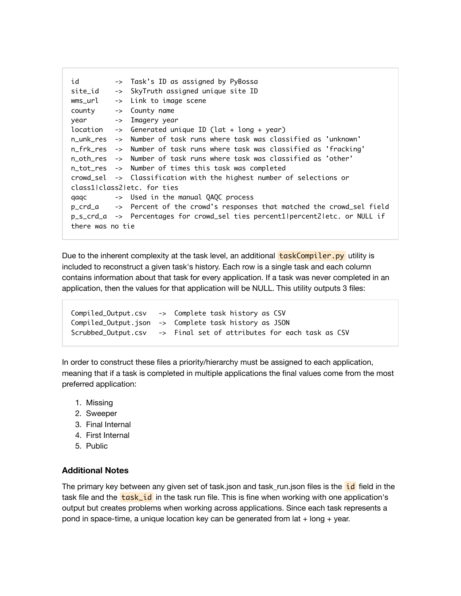```
id -> Task's ID as assigned by PyBossa
site_id -> SkyTruth assigned unique site ID
wms_url -> Link to image scene
county -> County name
year -> Imagery year
location \rightarrow Generated unique ID (lat + long + year)
n_unk_res -> Number of task runs where task was classified as 'unknown'
n_frk_res -> Number of task runs where task was classified as 'fracking'
n_oth_res -> Number of task runs where task was classified as 'other'
n_tot_res -> Number of times this task was completed
crowd_sel -> Classification with the highest number of selections or
class1|class2|etc. for ties
qaqc -> Used in the manual QAQC process
p_crd_a -> Percent of the crowd's responses that matched the crowd_sel field
p_s_crd_a -> Percentages for crowd_sel ties percent1|percent2|etc. or NULL if
there was no tie
```
Due to the inherent complexity at the task level, an additional **taskCompiler.py** utility is included to reconstruct a given task's history. Each row is a single task and each column contains information about that task for every application. If a task was never completed in an application, then the values for that application will be NULL. This utility outputs 3 files:



In order to construct these files a priority/hierarchy must be assigned to each application, meaning that if a task is completed in multiple applications the final values come from the most preferred application:

- 1. Missing
- 2. Sweeper
- 3. Final Internal
- 4. First Internal
- 5. Public

#### **Additional Notes**

The primary key between any given set of task.json and task\_run.json files is the id field in the task file and the  $\text{task_id}$  in the task run file. This is fine when working with one application's output but creates problems when working across applications. Since each task represents a pond in space-time, a unique location key can be generated from  $lat + long + year$ .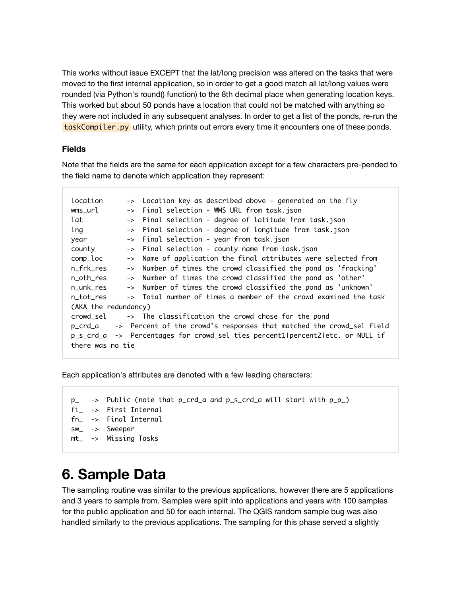This works without issue EXCEPT that the lat/long precision was altered on the tasks that were moved to the first internal application, so in order to get a good match all lat/long values were rounded (via Python's round() function) to the 8th decimal place when generating location keys. This worked but about 50 ponds have a location that could not be matched with anything so they were not included in any subsequent analyses. In order to get a list of the ponds, re-run the taskCompiler.py utility, which prints out errors every time it encounters one of these ponds.

#### **Fields**

Note that the fields are the same for each application except for a few characters pre-pended to the field name to denote which application they represent:

| location                                                                        |  | -> Location key as described above - generated on the fly        |  |  |
|---------------------------------------------------------------------------------|--|------------------------------------------------------------------|--|--|
| wms_url                                                                         |  | -> Final selection - WMS URL from task.json                      |  |  |
| lat                                                                             |  | -> Final selection - degree of latitude from task.json           |  |  |
| lng                                                                             |  | -> Final selection - degree of longitude from task.json          |  |  |
| year                                                                            |  | -> Final selection - year from task.json                         |  |  |
| county                                                                          |  | -> Final selection - county name from task.json                  |  |  |
| comp_loc                                                                        |  | -> Name of application the final attributes were selected from   |  |  |
| n frk res                                                                       |  | -> Number of times the crowd classified the pond as 'fracking'   |  |  |
| n oth res                                                                       |  | -> Number of times the crowd classified the pond as 'other'      |  |  |
| n unk res                                                                       |  | -> Number of times the crowd classified the pond as 'unknown'    |  |  |
| n tot res                                                                       |  | -> Total number of times a member of the crowd examined the task |  |  |
| (AKA the redundancy)                                                            |  |                                                                  |  |  |
| crowd sel<br>-> The classification the crowd chose for the pond                 |  |                                                                  |  |  |
| p_crd_a<br>-> Percent of the crowd's responses that matched the crowd_sel field |  |                                                                  |  |  |
| p_s_crd_a -> Percentages for crowd_sel ties percent1 percent2 etc. or NULL if   |  |                                                                  |  |  |
| there was no tie                                                                |  |                                                                  |  |  |

Each application's attributes are denoted with a few leading characters:

```
p_ -> Public (note that p_crd_a and p_s_crd_a will start with p_p_)
fi_ -> First Internal
fn_ -> Final Internal
sw_ -> Sweeper
mt_ -> Missing Tasks
```
## **6. Sample Data**

The sampling routine was similar to the previous applications, however there are 5 applications and 3 years to sample from. Samples were split into applications and years with 100 samples for the public application and 50 for each internal. The QGIS random sample bug was also handled similarly to the previous applications. The sampling for this phase served a slightly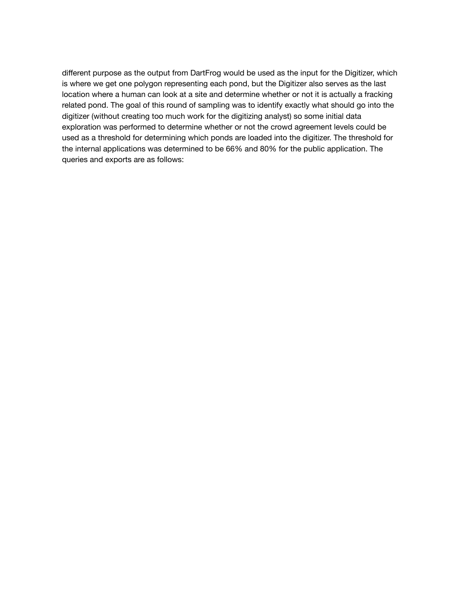different purpose as the output from DartFrog would be used as the input for the Digitizer, which is where we get one polygon representing each pond, but the Digitizer also serves as the last location where a human can look at a site and determine whether or not it is actually a fracking related pond. The goal of this round of sampling was to identify exactly what should go into the digitizer (without creating too much work for the digitizing analyst) so some initial data exploration was performed to determine whether or not the crowd agreement levels could be used as a threshold for determining which ponds are loaded into the digitizer. The threshold for the internal applications was determined to be 66% and 80% for the public application. The queries and exports are as follows: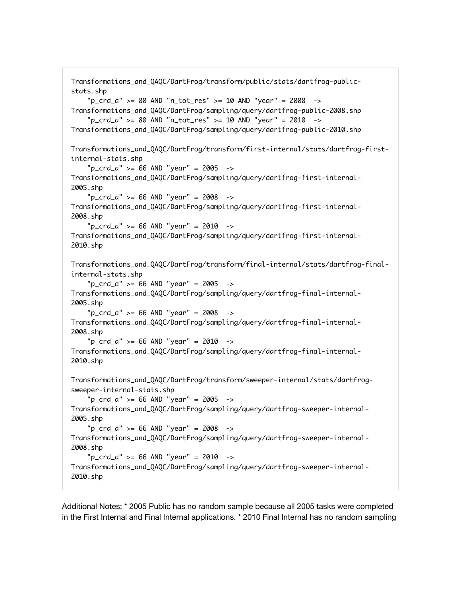```
Transformations_and_QAQC/DartFrog/transform/public/stats/dartfrog-public-
stats.shp
    "p_{crd_a" > = 80 AND "n_{tot_re_s" > = 10 AND "year" = 2008 ->
Transformations_and_QAQC/DartFrog/sampling/query/dartfrog-public-2008.shp
     "p_crd_a" >= 80 AND "n_tot_res" >= 10 AND "year" = 2010 -> 
Transformations_and_QAQC/DartFrog/sampling/query/dartfrog-public-2010.shp
Transformations_and_QAQC/DartFrog/transform/first-internal/stats/dartfrog-first-
internal-stats.shp
    "p_{crd_a" > = 66 AND "year" = 2005 ->
Transformations_and_QAQC/DartFrog/sampling/query/dartfrog-first-internal-
2005.shp
    "p_{crd_a" > = 66 AND "year" = 2008 ->
Transformations_and_QAQC/DartFrog/sampling/query/dartfrog-first-internal-
2008.shp
     "p_crd_a" >= 66 AND "year" = 2010 -> 
Transformations_and_QAQC/DartFrog/sampling/query/dartfrog-first-internal-
2010.shp
Transformations_and_QAQC/DartFrog/transform/final-internal/stats/dartfrog-final-
internal-stats.shp
    "p_{crd_a" > = 66 AND "year" = 2005 ->
Transformations_and_QAQC/DartFrog/sampling/query/dartfrog-final-internal-
2005.shp
     "p_crd_a" >= 66 AND "year" = 2008 -> 
Transformations_and_QAQC/DartFrog/sampling/query/dartfrog-final-internal-
2008.shp
    "p_{crd_a" > = 66 AND "year" = 2010 ->
Transformations_and_QAQC/DartFrog/sampling/query/dartfrog-final-internal-
2010.shp
Transformations_and_QAQC/DartFrog/transform/sweeper-internal/stats/dartfrog-
sweeper-internal-stats.shp
    "p_{crd_a" > = 66 AND "year" = 2005 ->
Transformations_and_QAQC/DartFrog/sampling/query/dartfrog-sweeper-internal-
2005.shp
    "p_{crd_a" > = 66 AND "year" = 2008 ->
Transformations_and_QAQC/DartFrog/sampling/query/dartfrog-sweeper-internal-
2008.shp
    "p_crd_a" >= 66 AND "year" = 2010 ->
Transformations_and_QAQC/DartFrog/sampling/query/dartfrog-sweeper-internal-
2010.shp
```
Additional Notes: \* 2005 Public has no random sample because all 2005 tasks were completed in the First Internal and Final Internal applications. \* 2010 Final Internal has no random sampling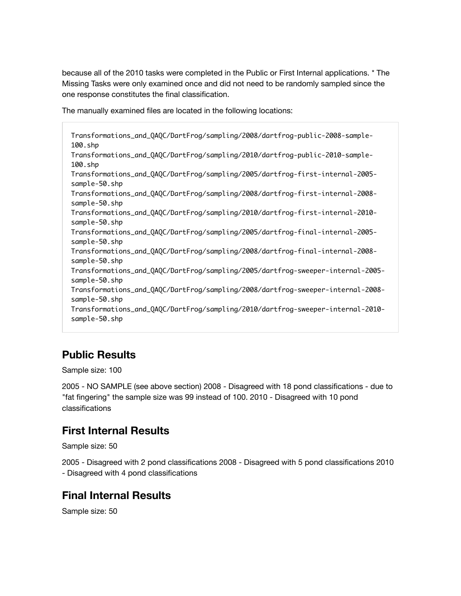because all of the 2010 tasks were completed in the Public or First Internal applications. \* The Missing Tasks were only examined once and did not need to be randomly sampled since the one response constitutes the final classification.

The manually examined files are located in the following locations:

Transformations\_and\_QAQC/DartFrog/sampling/2008/dartfrog-public-2008-sample-100.shp Transformations\_and\_QAQC/DartFrog/sampling/2010/dartfrog-public-2010-sample-100.shp Transformations\_and\_QAQC/DartFrog/sampling/2005/dartfrog-first-internal-2005 sample-50.shp Transformations\_and\_QAQC/DartFrog/sampling/2008/dartfrog-first-internal-2008 sample-50.shp Transformations\_and\_QAQC/DartFrog/sampling/2010/dartfrog-first-internal-2010 sample-50.shp Transformations\_and\_QAQC/DartFrog/sampling/2005/dartfrog-final-internal-2005 sample-50.shp Transformations\_and\_QAQC/DartFrog/sampling/2008/dartfrog-final-internal-2008 sample-50.shp Transformations\_and\_QAQC/DartFrog/sampling/2005/dartfrog-sweeper-internal-2005 sample-50.shp Transformations\_and\_QAQC/DartFrog/sampling/2008/dartfrog-sweeper-internal-2008 sample-50.shp Transformations\_and\_QAQC/DartFrog/sampling/2010/dartfrog-sweeper-internal-2010 sample-50.shp

### **Public Results**

Sample size: 100

2005 - NO SAMPLE (see above section) 2008 - Disagreed with 18 pond classifications - due to "fat fingering" the sample size was 99 instead of 100. 2010 - Disagreed with 10 pond classifications

### **First Internal Results**

Sample size: 50

2005 - Disagreed with 2 pond classifications 2008 - Disagreed with 5 pond classifications 2010 - Disagreed with 4 pond classifications

### **Final Internal Results**

Sample size: 50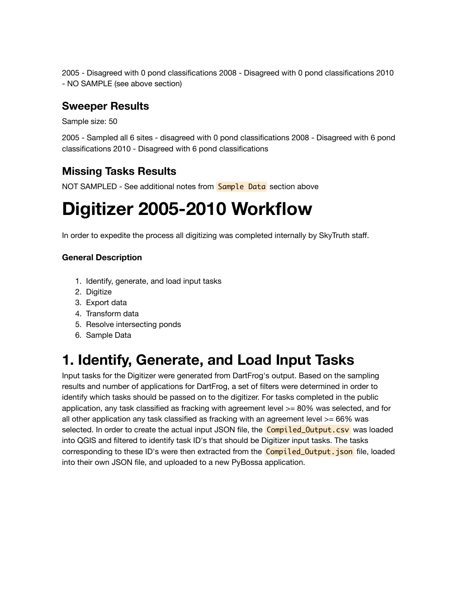2005 - Disagreed with 0 pond classifications 2008 - Disagreed with 0 pond classifications 2010 - NO SAMPLE (see above section)

#### **Sweeper Results**

Sample size: 50

2005 - Sampled all 6 sites - disagreed with 0 pond classifications 2008 - Disagreed with 6 pond classifications 2010 - Disagreed with 6 pond classifications

### **Missing Tasks Results**

NOT SAMPLED - See additional notes from **Sample Data** section above

# **Digitizer 2005-2010 Workflow**

In order to expedite the process all digitizing was completed internally by SkyTruth staff.

#### **General Description**

- 1. Identify, generate, and load input tasks
- 2. Digitize
- 3. Export data
- 4. Transform data
- 5. Resolve intersecting ponds
- 6. Sample Data

## **1. Identify, Generate, and Load Input Tasks**

Input tasks for the Digitizer were generated from DartFrog's output. Based on the sampling results and number of applications for DartFrog, a set of filters were determined in order to identify which tasks should be passed on to the digitizer. For tasks completed in the public application, any task classified as fracking with agreement level >= 80% was selected, and for all other application any task classified as fracking with an agreement level >= 66% was selected. In order to create the actual input JSON file, the **Compiled\_Output.csv** was loaded into QGIS and filtered to identify task ID's that should be Digitizer input tasks. The tasks corresponding to these ID's were then extracted from the **Compiled Output. json** file, loaded into their own JSON file, and uploaded to a new PyBossa application.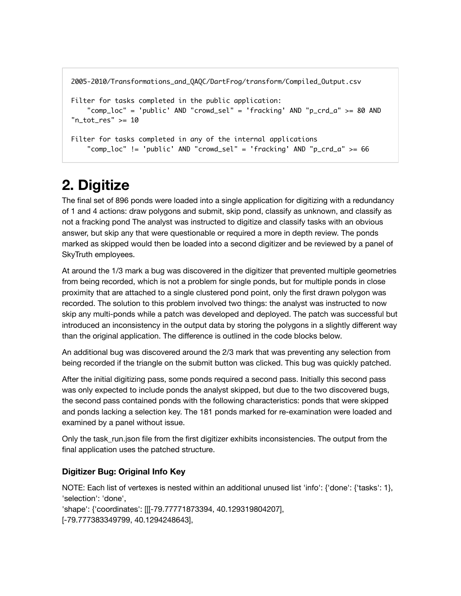```
2005-2010/Transformations_and_QAQC/DartFrog/transform/Compiled_Output.csv
Filter for tasks completed in the public application:
     "comp_loc" = 'public' AND "crowd_sel" = 'fracking' AND "p_crd_a" >= 80 AND
"n_tot_res" >= 10
Filter for tasks completed in any of the internal applications
     "comp_loc" != 'public' AND "crowd_sel" = 'fracking' AND "p_crd_a" >= 66
```
## **2. Digitize**

The final set of 896 ponds were loaded into a single application for digitizing with a redundancy of 1 and 4 actions: draw polygons and submit, skip pond, classify as unknown, and classify as not a fracking pond The analyst was instructed to digitize and classify tasks with an obvious answer, but skip any that were questionable or required a more in depth review. The ponds marked as skipped would then be loaded into a second digitizer and be reviewed by a panel of SkyTruth employees.

At around the 1/3 mark a bug was discovered in the digitizer that prevented multiple geometries from being recorded, which is not a problem for single ponds, but for multiple ponds in close proximity that are attached to a single clustered pond point, only the first drawn polygon was recorded. The solution to this problem involved two things: the analyst was instructed to now skip any multi-ponds while a patch was developed and deployed. The patch was successful but introduced an inconsistency in the output data by storing the polygons in a slightly different way than the original application. The difference is outlined in the code blocks below.

An additional bug was discovered around the 2/3 mark that was preventing any selection from being recorded if the triangle on the submit button was clicked. This bug was quickly patched.

After the initial digitizing pass, some ponds required a second pass. Initially this second pass was only expected to include ponds the analyst skipped, but due to the two discovered bugs, the second pass contained ponds with the following characteristics: ponds that were skipped and ponds lacking a selection key. The 181 ponds marked for re-examination were loaded and examined by a panel without issue.

Only the task\_run.json file from the first digitizer exhibits inconsistencies. The output from the final application uses the patched structure.

#### **Digitizer Bug: Original Info Key**

NOTE: Each list of vertexes is nested within an additional unused list 'info': {'done': {'tasks': 1}, 'selection': 'done', 'shape': {'coordinates': [[[-79.77771873394, 40.129319804207], [-79.777383349799, 40.1294248643],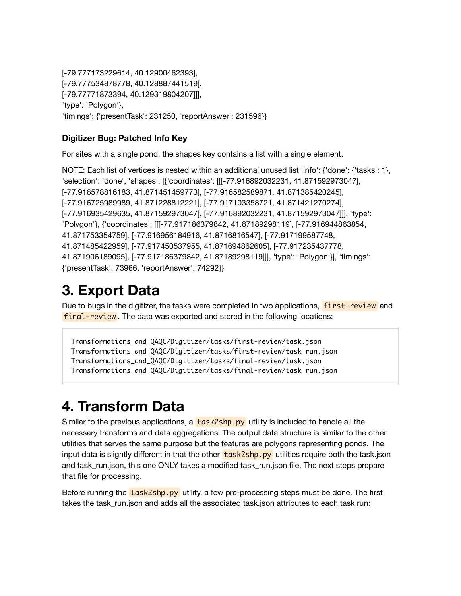[-79.777173229614, 40.12900462393], [-79.777534878778, 40.128887441519], [-79.77771873394, 40.129319804207]]], 'type': 'Polygon'}, 'timings': {'presentTask': 231250, 'reportAnswer': 231596}}

#### **Digitizer Bug: Patched Info Key**

For sites with a single pond, the shapes key contains a list with a single element.

NOTE: Each list of vertices is nested within an additional unused list 'info': {'done': {'tasks': 1}, 'selection': 'done', 'shapes': [{'coordinates': [[[-77.916892032231, 41.871592973047], [-77.916578816183, 41.871451459773], [-77.916582589871, 41.871385420245], [-77.916725989989, 41.871228812221], [-77.917103358721, 41.871421270274], [-77.916935429635, 41.871592973047], [-77.916892032231, 41.871592973047]]], 'type': 'Polygon'}, {'coordinates': [[[-77.917186379842, 41.87189298119], [-77.916944863854, 41.871753354759], [-77.916956184916, 41.8716816547], [-77.917199587748, 41.871485422959], [-77.917450537955, 41.871694862605], [-77.917235437778, 41.871906189095], [-77.917186379842, 41.87189298119]]], 'type': 'Polygon'}], 'timings': {'presentTask': 73966, 'reportAnswer': 74292}}

## **3. Export Data**

Due to bugs in the digitizer, the tasks were completed in two applications, **first-review** and final-review . The data was exported and stored in the following locations:

```
Transformations_and_QAQC/Digitizer/tasks/first-review/task.json
Transformations_and_QAQC/Digitizer/tasks/first-review/task_run.json
Transformations_and_QAQC/Digitizer/tasks/final-review/task.json
Transformations_and_QAQC/Digitizer/tasks/final-review/task_run.json
```
## **4. Transform Data**

Similar to the previous applications, a  $\frac{task2shp.py}{s}$  utility is included to handle all the necessary transforms and data aggregations. The output data structure is similar to the other utilities that serves the same purpose but the features are polygons representing ponds. The input data is slightly different in that the other  $\frac{task2shp.py}{task2shp.py}$  utilities require both the task.json and task run.json, this one ONLY takes a modified task run.json file. The next steps prepare that file for processing.

Before running the task2shp.py utility, a few pre-processing steps must be done. The first takes the task\_run.json and adds all the associated task.json attributes to each task run: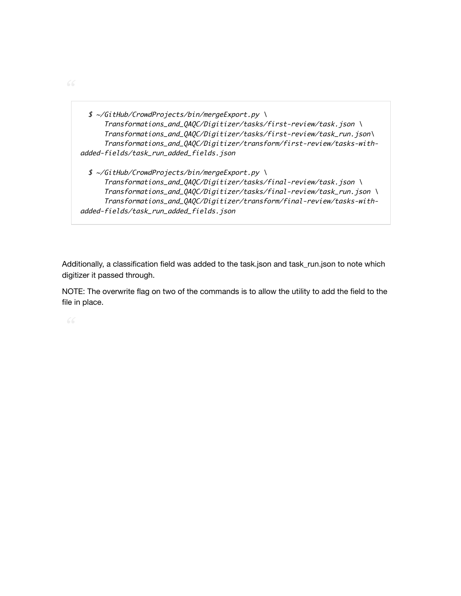\$ ~/GitHub/CrowdProjects/bin/mergeExport.py \ Transformations\_and\_QAQC/Digitizer/tasks/first-review/task.json \ Transformations\_and\_QAQC/Digitizer/tasks/first-review/task\_run.json\ Transformations\_and\_QAQC/Digitizer/transform/first-review/tasks-withadded-fields/task\_run\_added\_fields.json \$ ~/GitHub/CrowdProjects/bin/mergeExport.py \ Transformations\_and\_QAQC/Digitizer/tasks/final-review/task.json \ Transformations\_and\_QAQC/Digitizer/tasks/final-review/task\_run.json \ Transformations\_and\_QAQC/Digitizer/transform/final-review/tasks-with-

```
added-fields/task_run_added_fields.json
```
Additionally, a classification field was added to the task.json and task\_run.json to note which digitizer it passed through.

NOTE: The overwrite flag on two of the commands is to allow the utility to add the field to the file in place.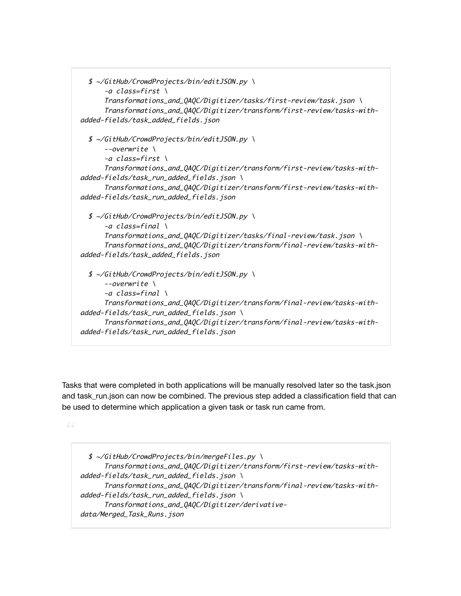```
 $ ~/GitHub/CrowdProjects/bin/editJSON.py \
       -a class=first \
       Transformations_and_QAQC/Digitizer/tasks/first-review/task.json \
       Transformations_and_QAQC/Digitizer/transform/first-review/tasks-with-
added-fields/task_added_fields.json
   $ ~/GitHub/CrowdProjects/bin/editJSON.py \
      --overwrite \setminus -a class=first \
       Transformations_and_QAQC/Digitizer/transform/first-review/tasks-with-
added-fields/task_run_added_fields.json \
       Transformations_and_QAQC/Digitizer/transform/first-review/tasks-with-
added-fields/task_run_added_fields.json
  $ \sim/GitHub/CrowdProjects/bin/editJSON.py \
      -a class=final \setminus Transformations_and_QAQC/Digitizer/tasks/final-review/task.json \
       Transformations_and_QAQC/Digitizer/transform/final-review/tasks-with-
added-fields/task_added_fields.json
   $ ~/GitHub/CrowdProjects/bin/editJSON.py \
      --overwrite \setminus -a class=final \
       Transformations_and_QAQC/Digitizer/transform/final-review/tasks-with-
added-fields/task_run_added_fields.json \
       Transformations_and_QAQC/Digitizer/transform/final-review/tasks-with-
added-fields/task_run_added_fields.json
```
Tasks that were completed in both applications will be manually resolved later so the task.json and task\_run.json can now be combined. The previous step added a classification field that can be used to determine which application a given task or task run came from.

 $$ \sim$ /GitHub/CrowdProjects/bin/mergeFiles.py \ Transformations\_and\_QAQC/Digitizer/transform/first-review/tasks-withadded-fields/task\_run\_added\_fields.json \ Transformations\_and\_QAQC/Digitizer/transform/final-review/tasks-withadded-fields/task\_run\_added\_fields.json \ Transformations\_and\_QAQC/Digitizer/derivativedata/Merged\_Task\_Runs.json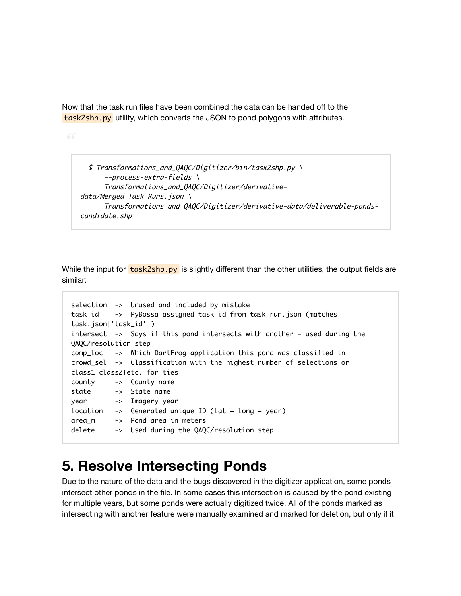Now that the task run files have been combined the data can be handed off to the task2shp.py utility, which converts the JSON to pond polygons with attributes.

```
 $ Transformations_and_QAQC/Digitizer/bin/task2shp.py \
       --process-extra-fields \
       Transformations_and_QAQC/Digitizer/derivative-
data/Merged_Task_Runs.json\
       Transformations_and_QAQC/Digitizer/derivative-data/deliverable-ponds-
candidate.shp
```
While the input for task2shp.py is slightly different than the other utilities, the output fields are similar:

```
selection -> Unused and included by mistake
task_id -> PyBossa assigned task_id from task_run.json (matches
task.json['task_id'])
intersect -> Says if this pond intersects with another - used during the
QAQC/resolution step
comp_loc -> Which DartFrog application this pond was classified in
crowd_sel -> Classification with the highest number of selections or
class1|class2|etc. for ties
county -> County name
state -> State name
year -> Imagery year
location -> Generated unique ID (lat + long + year)
area_m -> Pond area in meters
delete -> Used during the QAQC/resolution step
```
## **5. Resolve Intersecting Ponds**

Due to the nature of the data and the bugs discovered in the digitizer application, some ponds intersect other ponds in the file. In some cases this intersection is caused by the pond existing for multiple years, but some ponds were actually digitized twice. All of the ponds marked as intersecting with another feature were manually examined and marked for deletion, but only if it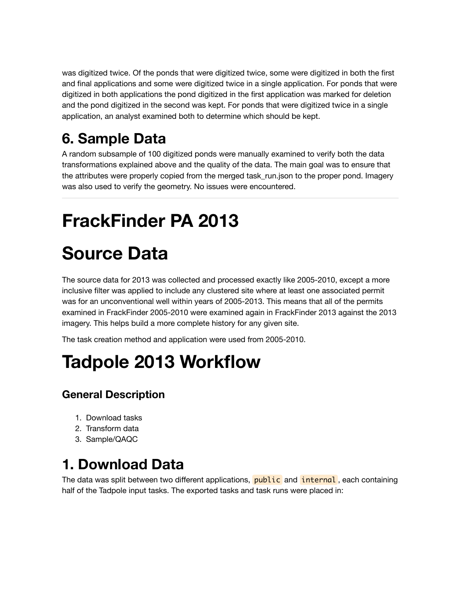was digitized twice. Of the ponds that were digitized twice, some were digitized in both the first and final applications and some were digitized twice in a single application. For ponds that were digitized in both applications the pond digitized in the first application was marked for deletion and the pond digitized in the second was kept. For ponds that were digitized twice in a single application, an analyst examined both to determine which should be kept.

## **6. Sample Data**

A random subsample of 100 digitized ponds were manually examined to verify both the data transformations explained above and the quality of the data. The main goal was to ensure that the attributes were properly copied from the merged task run.json to the proper pond. Imagery was also used to verify the geometry. No issues were encountered.

# **FrackFinder PA 2013**

# **Source Data**

The source data for 2013 was collected and processed exactly like 2005-2010, except a more inclusive filter was applied to include any clustered site where at least one associated permit was for an unconventional well within years of 2005-2013. This means that all of the permits examined in FrackFinder 2005-2010 were examined again in FrackFinder 2013 against the 2013 imagery. This helps build a more complete history for any given site.

The task creation method and application were used from 2005-2010.

# **Tadpole 2013 Workflow**

### **General Description**

- 1. Download tasks
- 2. Transform data
- 3. Sample/QAQC

## **1. Download Data**

The data was split between two different applications, public and internal, each containing half of the Tadpole input tasks. The exported tasks and task runs were placed in: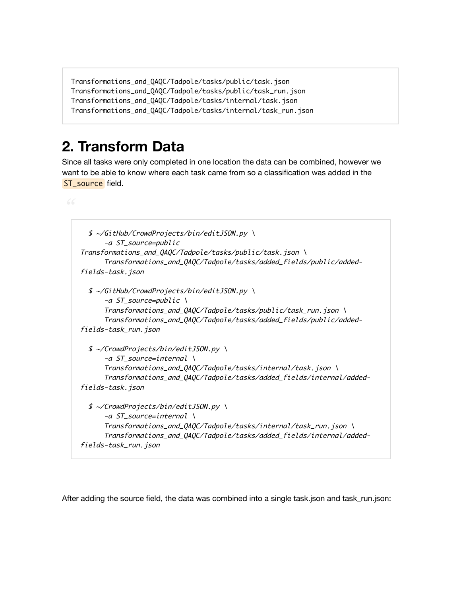```
Transformations_and_QAQC/Tadpole/tasks/public/task.json
Transformations_and_QAQC/Tadpole/tasks/public/task_run.json
Transformations_and_QAQC/Tadpole/tasks/internal/task.json
Transformations_and_QAQC/Tadpole/tasks/internal/task_run.json
```
## **2. Transform Data**

Since all tasks were only completed in one location the data can be combined, however we want to be able to know where each task came from so a classification was added in the ST\_source field.

```
 $ ~/GitHub/CrowdProjects/bin/editJSON.py \
       -a ST_source=public
Transformations_and_QAQC/Tadpole/tasks/public/task.json \
       Transformations_and_QAQC/Tadpole/tasks/added_fields/public/added-
fields-task.json
   $ ~/GitHub/CrowdProjects/bin/editJSON.py \
       -a ST_source=public \
       Transformations_and_QAQC/Tadpole/tasks/public/task_run.json \
       Transformations_and_QAQC/Tadpole/tasks/added_fields/public/added-
fields-task_run.json
  $ ~/CrowdProjects/bin/editJSON.py \
       -a ST_source=internal \
       Transformations_and_QAQC/Tadpole/tasks/internal/task.json \
       Transformations_and_QAQC/Tadpole/tasks/added_fields/internal/added-
fields-task.json
   $ ~/CrowdProjects/bin/editJSON.py \
       -a ST_source=internal \
       Transformations_and_QAQC/Tadpole/tasks/internal/task_run.json \
       Transformations_and_QAQC/Tadpole/tasks/added_fields/internal/added-
fields-task_run.json
```
After adding the source field, the data was combined into a single task.json and task\_run.json: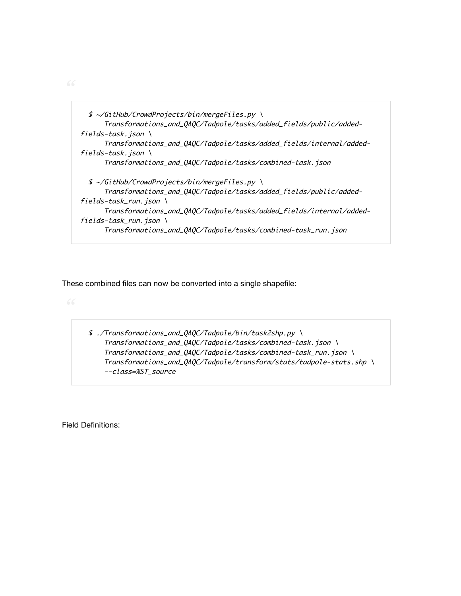\$ ~/GitHub/CrowdProjects/bin/mergeFiles.py \ Transformations\_and\_QAQC/Tadpole/tasks/added\_fields/public/addedfields-task.json  $\setminus$  Transformations\_and\_QAQC/Tadpole/tasks/added\_fields/internal/addedfields-task.json \ Transformations\_and\_QAQC/Tadpole/tasks/combined-task.json \$ ~/GitHub/CrowdProjects/bin/mergeFiles.py \ Transformations\_and\_QAQC/Tadpole/tasks/added\_fields/public/addedfields-task\_run.json  $\setminus$  Transformations\_and\_QAQC/Tadpole/tasks/added\_fields/internal/addedfields-task\_run.json  $\setminus$ Transformations\_and\_QAQC/Tadpole/tasks/combined-task\_run.json

These combined files can now be converted into a single shapefile:

 \$ ./Transformations\_and\_QAQC/Tadpole/bin/task2shp.py \ Transformations\_and\_QAQC/Tadpole/tasks/combined-task.json \ Transformations\_and\_QAQC/Tadpole/tasks/combined-task\_run.json \ Transformations\_and\_QAQC/Tadpole/transform/stats/tadpole-stats.shp \ --class=%ST\_source

Field Definitions: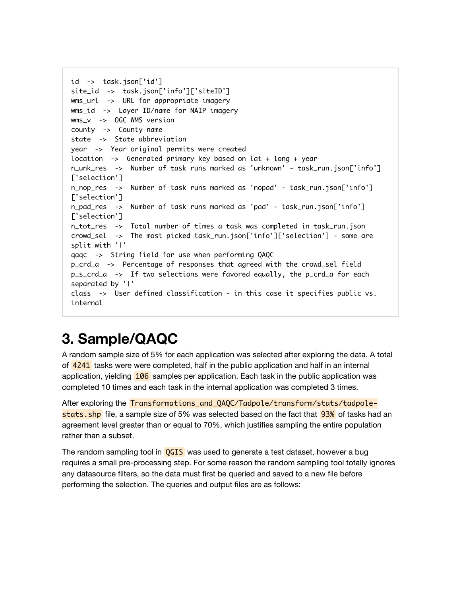```
id -> task.json['id']
site_id -> task.json['info']['siteID']
wms_url -> URL for appropriate imagery
wms_id -> Layer ID/name for NAIP imagery
wms_v -> OGC WMS version
county -> County name
state -> State abbreviation
year -> Year original permits were created
location -> Generated primary key based on lat + long + year
n_unk_res -> Number of task runs marked as 'unknown' - task_run.json['info']
['selection'] 
n_nop_res -> Number of task runs marked as 'nopad' - task_run.json['info']
['selection']
n_pad_res -> Number of task runs marked as 'pad' - task_run.json['info']
['selection']
n_tot_res -> Total number of times a task was completed in task_run.json
crowd_sel -> The most picked task_run.json['info']['selection'] - some are
split with '|'
qaqc -> String field for use when performing QAQC
p_crd_a -> Percentage of responses that agreed with the crowd_sel field
p_s_crd_a -> If two selections were favored equally, the p_crd_a for each
separated by '|'
class -> User defined classification - in this case it specifies public vs.
internal
```
## **3. Sample/QAQC**

A random sample size of 5% for each application was selected after exploring the data. A total of 4241 tasks were were completed, half in the public application and half in an internal application, yielding 106 samples per application. Each task in the public application was completed 10 times and each task in the internal application was completed 3 times.

After exploring the Transformations\_and\_QAQC/Tadpole/transform/stats/tadpolestats. shp file, a sample size of 5% was selected based on the fact that **93%** of tasks had an agreement level greater than or equal to 70%, which justifies sampling the entire population rather than a subset.

The random sampling tool in **QGIS** was used to generate a test dataset, however a bug requires a small pre-processing step. For some reason the random sampling tool totally ignores any datasource filters, so the data must first be queried and saved to a new file before performing the selection. The queries and output files are as follows: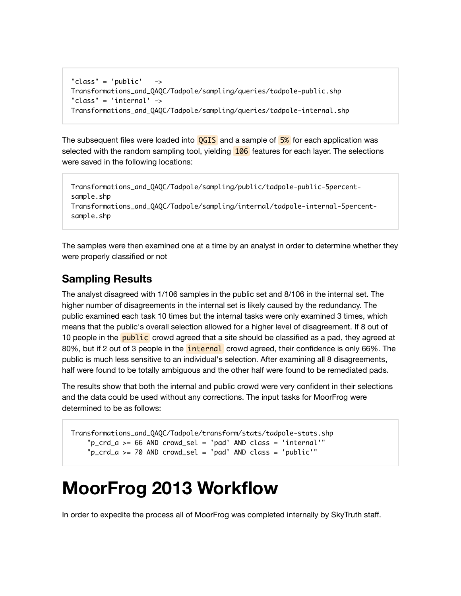```
"class" = 'public' ->
Transformations_and_QAQC/Tadpole/sampling/queries/tadpole-public.shp
"class" = 'internal' ->
Transformations_and_QAQC/Tadpole/sampling/queries/tadpole-internal.shp
```
The subsequent files were loaded into  $QGIS$  and a sample of  $5\%$  for each application was selected with the random sampling tool, yielding 106 features for each layer. The selections were saved in the following locations:

```
Transformations_and_QAQC/Tadpole/sampling/public/tadpole-public-5percent-
sample.shp
Transformations_and_QAQC/Tadpole/sampling/internal/tadpole-internal-5percent-
sample.shp
```
The samples were then examined one at a time by an analyst in order to determine whether they were properly classified or not

#### **Sampling Results**

The analyst disagreed with 1/106 samples in the public set and 8/106 in the internal set. The higher number of disagreements in the internal set is likely caused by the redundancy. The public examined each task 10 times but the internal tasks were only examined 3 times, which means that the public's overall selection allowed for a higher level of disagreement. If 8 out of 10 people in the **public** crowd agreed that a site should be classified as a pad, they agreed at 80%, but if 2 out of 3 people in the *internal* crowd agreed, their confidence is only 66%. The public is much less sensitive to an individual's selection. After examining all 8 disagreements, half were found to be totally ambiguous and the other half were found to be remediated pads.

The results show that both the internal and public crowd were very confident in their selections and the data could be used without any corrections. The input tasks for MoorFrog were determined to be as follows:

```
Transformations_and_QAQC/Tadpole/transform/stats/tadpole-stats.shp
     "p_crd_a >= 66 AND crowd_sel = 'pad' AND class = 'internal'"
     "p_crd_a >= 70 AND crowd_sel = 'pad' AND class = 'public'"
```
## **MoorFrog 2013 Workflow**

In order to expedite the process all of MoorFrog was completed internally by SkyTruth staff.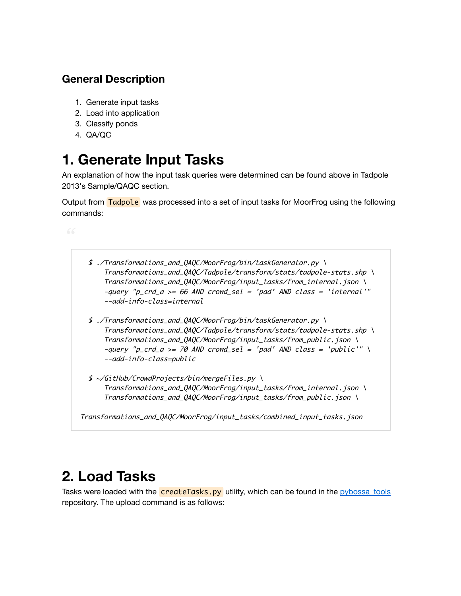### **General Description**

- 1. Generate input tasks
- 2. Load into application
- 3. Classify ponds
- 4. QA/QC

## **1. Generate Input Tasks**

An explanation of how the input task queries were determined can be found above in Tadpole 2013's Sample/QAQC section.

Output from Tadpole was processed into a set of input tasks for MoorFrog using the following commands:



## **2. Load Tasks**

Tasks were loaded with the **createTasks.py** utility, which can be found in the pybossa tools repository. The upload command is as follows: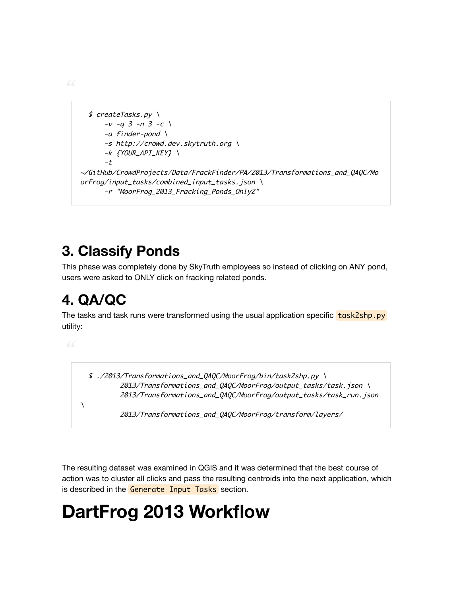```
 $ createTasks.py \
      -v -q 3 -n 3 -c \sqrt{ }-a finder-pond \
       -s http://crowd.dev.skytruth.org \
       -k {YOUR_API_KEY} \
       -t
~/GitHub/CrowdProjects/Data/FrackFinder/PA/2013/Transformations_and_QAQC/Mo
orFrog/input_tasks/combined_input_tasks.json \
       -r "MoorFrog_2013_Fracking_Ponds_Only2"
```
## **3. Classify Ponds**

This phase was completely done by SkyTruth employees so instead of clicking on ANY pond, users were asked to ONLY click on fracking related ponds.

## **4. QA/QC**

The tasks and task runs were transformed using the usual application specific  $\frac{task25hp.py}{task25hp.py}$ utility:

 $\lambda$ 

 \$ ./2013/Transformations\_and\_QAQC/MoorFrog/bin/task2shp.py \ 2013/Transformations\_and\_QAQC/MoorFrog/output\_tasks/task.json\ 2013/Transformations\_and\_QAQC/MoorFrog/output\_tasks/task\_run.json

2013/Transformations\_and\_QAQC/MoorFrog/transform/layers/

The resulting dataset was examined in QGIS and it was determined that the best course of action was to cluster all clicks and pass the resulting centroids into the next application, which is described in the Generate Input Tasks section.

# **DartFrog 2013 Workflow**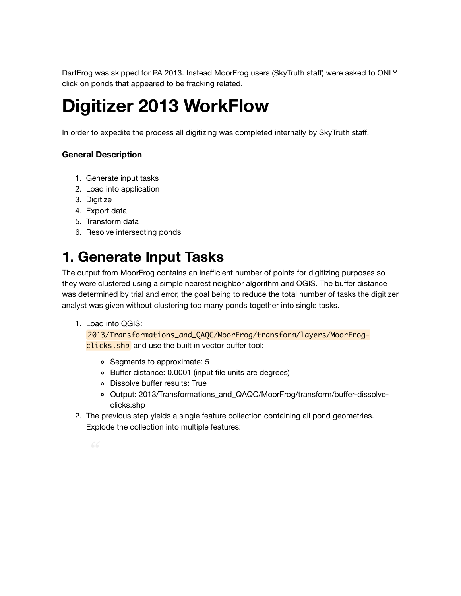DartFrog was skipped for PA 2013. Instead MoorFrog users (SkyTruth staff) were asked to ONLY click on ponds that appeared to be fracking related.

# **Digitizer 2013 WorkFlow**

In order to expedite the process all digitizing was completed internally by SkyTruth staff.

#### **General Description**

- 1. Generate input tasks
- 2. Load into application
- 3. Digitize
- 4. Export data
- 5. Transform data
- 6. Resolve intersecting ponds

## **1. Generate Input Tasks**

The output from MoorFrog contains an inefficient number of points for digitizing purposes so they were clustered using a simple nearest neighbor algorithm and QGIS. The buffer distance was determined by trial and error, the goal being to reduce the total number of tasks the digitizer analyst was given without clustering too many ponds together into single tasks.

1. Load into QGIS:

2013/Transformations\_and\_QAQC/MoorFrog/transform/layers/MoorFrogclicks.shp and use the built in vector buffer tool:

- Segments to approximate: 5
- Buffer distance: 0.0001 (input file units are degrees)
- Dissolve buffer results: True
- Output: 2013/Transformations\_and\_QAQC/MoorFrog/transform/buffer-dissolveclicks.shp
- 2. The previous step yields a single feature collection containing all pond geometries. Explode the collection into multiple features:
	-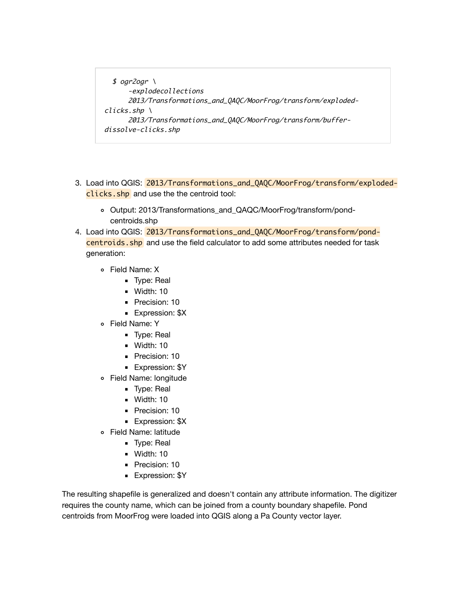```
$ ogr2ogr \
       -explodecollections
       2013/Transformations_and_QAQC/MoorFrog/transform/exploded-
clicks.shp \ \ \ \ \ \ 2013/Transformations_and_QAQC/MoorFrog/transform/buffer-
dissolve-clicks.shp
```
- 3. Load into QGIS: 2013/Transformations\_and\_QAQC/MoorFrog/transform/explodedclicks.shp and use the the centroid tool:
	- Output: 2013/Transformations\_and\_QAQC/MoorFrog/transform/pondcentroids.shp
- 4. Load into QGIS: 2013/Transformations\_and\_QAQC/MoorFrog/transform/pondcentroids. shp and use the field calculator to add some attributes needed for task generation:
	- Field Name: X
		- **Type: Real**
		- **Width: 10**
		- Precision: 10
		- **Expression: \$X**
	- Field Name: Y
		- **Type: Real**
		- Width: 10
		- Precision: 10
		- **Expression: \$Y**
	- Field Name: longitude
		- **Type: Real**
		- Width: 10
		- Precision: 10
		- **Expression: \$X**
	- Field Name: latitude
		- **Type: Real**
		- Width: 10
		- Precision: 10
		- **Expression: \$Y**

The resulting shapefile is generalized and doesn't contain any attribute information. The digitizer requires the county name, which can be joined from a county boundary shapefile. Pond centroids from MoorFrog were loaded into QGIS along a Pa County vector layer.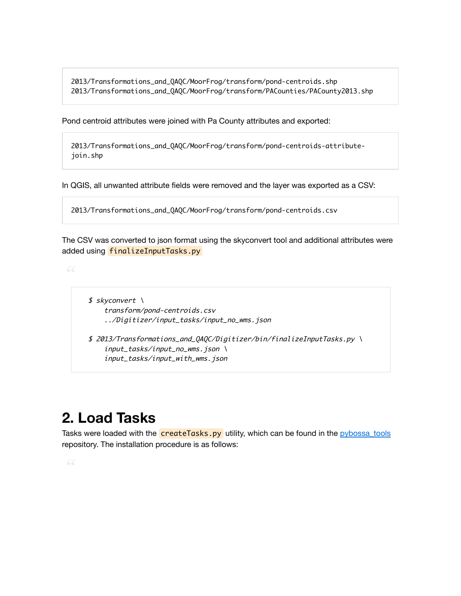2013/Transformations\_and\_QAQC/MoorFrog/transform/pond-centroids.shp 2013/Transformations\_and\_QAQC/MoorFrog/transform/PACounties/PACounty2013.shp

Pond centroid attributes were joined with Pa County attributes and exported:

2013/Transformations\_and\_QAQC/MoorFrog/transform/pond-centroids-attributejoin.shp

In QGIS, all unwanted attribute fields were removed and the layer was exported as a CSV:

```
2013/Transformations_and_QAQC/MoorFrog/transform/pond-centroids.csv
```
The CSV was converted to json format using the skyconvert tool and additional attributes were added using finalizeInputTasks.py

 \$ skyconvert \ transform/pond-centroids.csv ../Digitizer/input\_tasks/input\_no\_wms.json

 \$ 2013/Transformations\_and\_QAQC/Digitizer/bin/finalizeInputTasks.py \ input\_tasks/input\_no\_wms.json \ input\_tasks/input\_with\_wms.json

## **2. Load Tasks**

Tasks were loaded with the **createTasks.py** utility, which can be found in the pybossa tools repository. The installation procedure is as follows: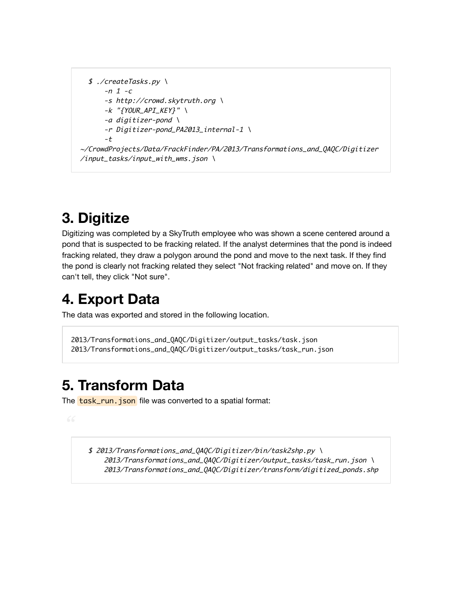```
 $ ./createTasks.py \
      -n 1 -c
       -s http://crowd.skytruth.org \
      -k "{YOUR_API_KEY}" \
       -a digitizer-pond \
       -r Digitizer-pond_PA2013_internal-1 \
       -t
~/CrowdProjects/Data/FrackFinder/PA/2013/Transformations_and_QAQC/Digitizer
\frac{1}{\sqrt{1}}input_tasks/input_with_wms.json \
```
## **3. Digitize**

Digitizing was completed by a SkyTruth employee who was shown a scene centered around a pond that is suspected to be fracking related. If the analyst determines that the pond is indeed fracking related, they draw a polygon around the pond and move to the next task. If they find the pond is clearly not fracking related they select "Not fracking related" and move on. If they can't tell, they click "Not sure".

## **4. Export Data**

The data was exported and stored in the following location.

```
2013/Transformations_and_QAQC/Digitizer/output_tasks/task.json
2013/Transformations_and_QAQC/Digitizer/output_tasks/task_run.json
```
## **5. Transform Data**

The **task\_run.json** file was converted to a spatial format:

 \$ 2013/Transformations\_and\_QAQC/Digitizer/bin/task2shp.py \ 2013/Transformations\_and\_QAQC/Digitizer/output\_tasks/task\_run.json \ 2013/Transformations\_and\_QAQC/Digitizer/transform/digitized\_ponds.shp